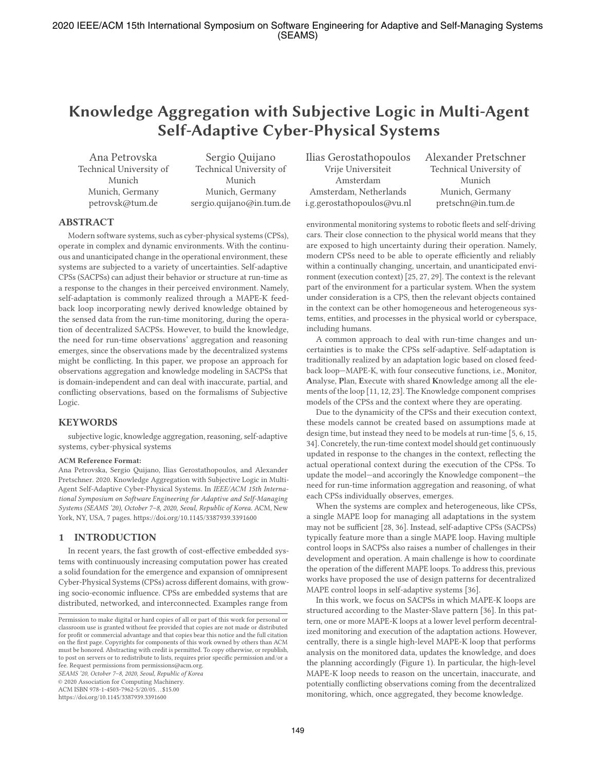# **Knowledge Aggregation with Subjective Logic in Multi-Agent Self-Adaptive Cyber-Physical Systems**

Ana Petrovska Technical University of Munich Munich, Germany petrovsk@tum.de

Sergio Quijano Technical University of Munich Munich, Germany sergio.quijano@in.tum.de

Ilias Gerostathopoulos Vrije Universiteit Amsterdam Amsterdam, Netherlands i.g.gerostathopoulos@vu.nl

Alexander Pretschner Technical University of Munich Munich, Germany pretschn@in.tum.de

# **ABSTRACT**

Modern software systems, such as cyber-physical systems (CPSs), operate in complex and dynamic environments. With the continuous and unanticipated change in the operational environment, these systems are subjected to a variety of uncertainties. Self-adaptive CPSs (SACPSs) can adjust their behavior or structure at run-time as a response to the changes in their perceived environment. Namely, self-adaptation is commonly realized through a MAPE-K feedback loop incorporating newly derived knowledge obtained by the sensed data from the run-time monitoring, during the operation of decentralized SACPSs. However, to build the knowledge, the need for run-time observations' aggregation and reasoning emerges, since the observations made by the decentralized systems might be conflicting. In this paper, we propose an approach for observations aggregation and knowledge modeling in SACPSs that is domain-independent and can deal with inaccurate, partial, and conflicting observations, based on the formalisms of Subjective Logic.

## **KEYWORDS**

subjective logic, knowledge aggregation, reasoning, self-adaptive systems, cyber-physical systems

#### **ACM Reference Format:**

Ana Petrovska, Sergio Quijano, Ilias Gerostathopoulos, and Alexander Pretschner. 2020. Knowledge Aggregation with Subjective Logic in Multi-Agent Self-Adaptive Cyber-Physical Systems. In *IEEE/ACM 15th International Symposium on Software Engineering for Adaptive and Self-Managing Systems (SEAMS '20), October 7–8, 2020, Seoul, Republic of Korea.* ACM, New York, NY, USA, 7 pages. https://doi.org/10.1145/3387939.3391600

#### **1 INTRODUCTION**

In recent years, the fast growth of cost-effective embedded systems with continuously increasing computation power has created a solid foundation for the emergence and expansion of omnipresent Cyber-Physical Systems (CPSs) across different domains, with growing socio-economic influence. CPSs are embedded systems that are distributed, networked, and interconnected. Examples range from

*SEAMS '20, October 7–8, 2020, Seoul, Republic of Korea*

© 2020 Association for Computing Machinery.

ACM ISBN 978-1-4503-7962-5/20/05. . . \$15.00

https://doi.org/10.1145/3387939.3391600

are exposed to high uncertainty during their operation. Namely, modern CPSs need to be able to operate efficiently and reliably within a continually changing, uncertain, and unanticipated environment (execution context) [25, 27, 29]. The context is the relevant part of the environment for a particular system. When the system under consideration is a CPS, then the relevant objects contained in the context can be other homogeneous and heterogeneous systems, entities, and processes in the physical world or cyberspace, including humans. A common approach to deal with run-time changes and un-

environmental monitoring systems to robotic fleets and self-driving cars. Their close connection to the physical world means that they

certainties is to make the CPSs self-adaptive. Self-adaptation is traditionally realized by an adaptation logic based on closed feedback loop—MAPE-K, with four consecutive functions, i.e., **M**onitor, **A**nalyse, **P**lan, **E**xecute with shared **K**nowledge among all the elements of the loop [11, 12, 23]. The Knowledge component comprises models of the CPSs and the context where they are operating.

Due to the dynamicity of the CPSs and their execution context, these models cannot be created based on assumptions made at design time, but instead they need to be models at run-time [5, 6, 15, 34]. Concretely, the run-time context model should get continuously updated in response to the changes in the context, reflecting the actual operational context during the execution of the CPSs. To update the model—and accoringly the Knowledge component—the need for run-time information aggregation and reasoning, of what each CPSs individually observes, emerges.

When the systems are complex and heterogeneous, like CPSs, a single MAPE loop for managing all adaptations in the system may not be sufficient [28, 36]. Instead, self-adaptive CPSs (SACPSs) typically feature more than a single MAPE loop. Having multiple control loops in SACPSs also raises a number of challenges in their development and operation. A main challenge is how to coordinate the operation of the different MAPE loops. To address this, previous works have proposed the use of design patterns for decentralized MAPE control loops in self-adaptive systems [36].

In this work, we focus on SACPSs in which MAPE-K loops are structured according to the Master-Slave pattern [36]. In this pattern, one or more MAPE-K loops at a lower level perform decentralized monitoring and execution of the adaptation actions. However, centrally, there is a single high-level MAPE-K loop that performs analysis on the monitored data, updates the knowledge, and does the planning accordingly (Figure 1). In particular, the high-level MAPE-K loop needs to reason on the uncertain, inaccurate, and potentially conflicting observations coming from the decentralized monitoring, which, once aggregated, they become knowledge.

Permission to make digital or hard copies of all or part of this work for personal or classroom use is granted without fee provided that copies are not made or distributed for profit or commercial advantage and that copies bear this notice and the full citation on the first page. Copyrights for components of this work owned by others than ACM must be honored. Abstracting with credit is permitted. To copy otherwise, or republish, to post on servers or to redistribute to lists, requires prior specific permission and/or a fee. Request permissions from permissions@acm.org.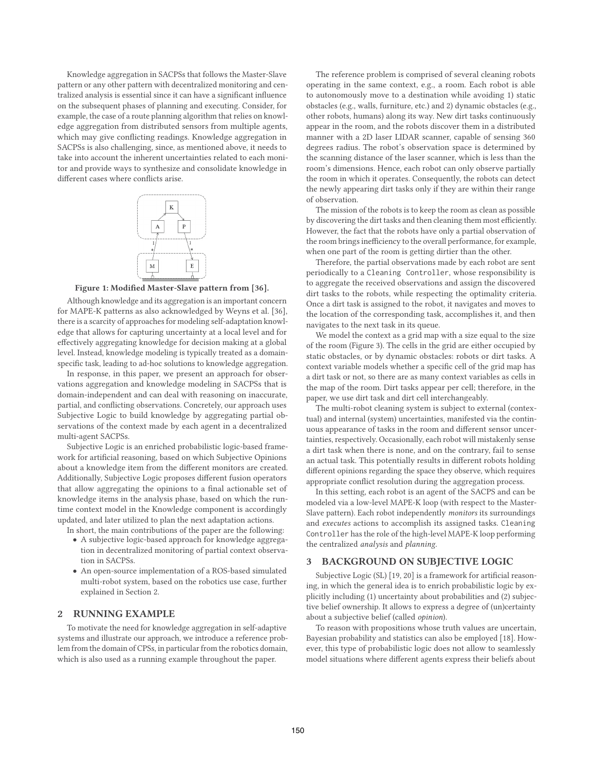Knowledge aggregation in SACPSs that follows the Master-Slave pattern or any other pattern with decentralized monitoring and centralized analysis is essential since it can have a significant influence on the subsequent phases of planning and executing. Consider, for example, the case of a route planning algorithm that relies on knowledge aggregation from distributed sensors from multiple agents, which may give conflicting readings. Knowledge aggregation in SACPSs is also challenging, since, as mentioned above, it needs to take into account the inherent uncertainties related to each monitor and provide ways to synthesize and consolidate knowledge in different cases where conflicts arise.



**Figure 1: Modified Master-Slave pattern from [36].** .

Although knowledge and its aggregation is an important concern for MAPE-K patterns as also acknowledged by Weyns et al. [36], there is a scarcity of approaches for modeling self-adaptation knowledge that allows for capturing uncertainty at a local level and for effectively aggregating knowledge for decision making at a global level. Instead, knowledge modeling is typically treated as a domainspecific task, leading to ad-hoc solutions to knowledge aggregation.

In response, in this paper, we present an approach for observations aggregation and knowledge modeling in SACPSs that is domain-independent and can deal with reasoning on inaccurate, partial, and conflicting observations. Concretely, our approach uses Subjective Logic to build knowledge by aggregating partial observations of the context made by each agent in a decentralized multi-agent SACPSs.

Subjective Logic is an enriched probabilistic logic-based framework for artificial reasoning, based on which Subjective Opinions about a knowledge item from the different monitors are created. Additionally, Subjective Logic proposes different fusion operators that allow aggregating the opinions to a final actionable set of knowledge items in the analysis phase, based on which the runtime context model in the Knowledge component is accordingly updated, and later utilized to plan the next adaptation actions.

In short, the main contributions of the paper are the following:

- A subjective logic-based approach for knowledge aggregation in decentralized monitoring of partial context observation in SACPSs.
- An open-source implementation of a ROS-based simulated multi-robot system, based on the robotics use case, further explained in Section 2.

# **2 RUNNING EXAMPLE**

To motivate the need for knowledge aggregation in self-adaptive systems and illustrate our approach, we introduce a reference problem from the domain of CPSs, in particular from the robotics domain, which is also used as a running example throughout the paper.

The reference problem is comprised of several cleaning robots operating in the same context, e.g., a room. Each robot is able to autonomously move to a destination while avoiding 1) static obstacles (e.g., walls, furniture, etc.) and 2) dynamic obstacles (e.g., other robots, humans) along its way. New dirt tasks continuously appear in the room, and the robots discover them in a distributed manner with a 2D laser LIDAR scanner, capable of sensing 360 degrees radius. The robot's observation space is determined by the scanning distance of the laser scanner, which is less than the room's dimensions. Hence, each robot can only observe partially the room in which it operates. Consequently, the robots can detect the newly appearing dirt tasks only if they are within their range of observation.

The mission of the robots is to keep the room as clean as possible by discovering the dirt tasks and then cleaning them most efficiently. However, the fact that the robots have only a partial observation of the room brings inefficiency to the overall performance, for example, when one part of the room is getting dirtier than the other.

Therefore, the partial observations made by each robot are sent periodically to a Cleaning Controller, whose responsibility is to aggregate the received observations and assign the discovered dirt tasks to the robots, while respecting the optimality criteria. Once a dirt task is assigned to the robot, it navigates and moves to the location of the corresponding task, accomplishes it, and then navigates to the next task in its queue.

We model the context as a grid map with a size equal to the size of the room (Figure 3). The cells in the grid are either occupied by static obstacles, or by dynamic obstacles: robots or dirt tasks. A context variable models whether a specific cell of the grid map has a dirt task or not, so there are as many context variables as cells in the map of the room. Dirt tasks appear per cell; therefore, in the paper, we use dirt task and dirt cell interchangeably.

The multi-robot cleaning system is subject to external (contextual) and internal (system) uncertainties, manifested via the continuous appearance of tasks in the room and different sensor uncertainties, respectively. Occasionally, each robot will mistakenly sense a dirt task when there is none, and on the contrary, fail to sense an actual task. This potentially results in different robots holding different opinions regarding the space they observe, which requires appropriate conflict resolution during the aggregation process.

In this setting, each robot is an agent of the SACPS and can be modeled via a low-level MAPE-K loop (with respect to the Master-Slave pattern). Each robot independently *monitors* its surroundings and *executes* actions to accomplish its assigned tasks. Cleaning Controller has the role of the high-level MAPE-K loop performing the centralized *analysis* and *planning*.

# **3 BACKGROUND ON SUBJECTIVE LOGIC**

Subjective Logic (SL) [19, 20] is a framework for artificial reasoning, in which the general idea is to enrich probabilistic logic by explicitly including (1) uncertainty about probabilities and (2) subjective belief ownership. It allows to express a degree of (un)certainty about a subjective belief (called *opinion*).

To reason with propositions whose truth values are uncertain, Bayesian probability and statistics can also be employed [18]. However, this type of probabilistic logic does not allow to seamlessly model situations where different agents express their beliefs about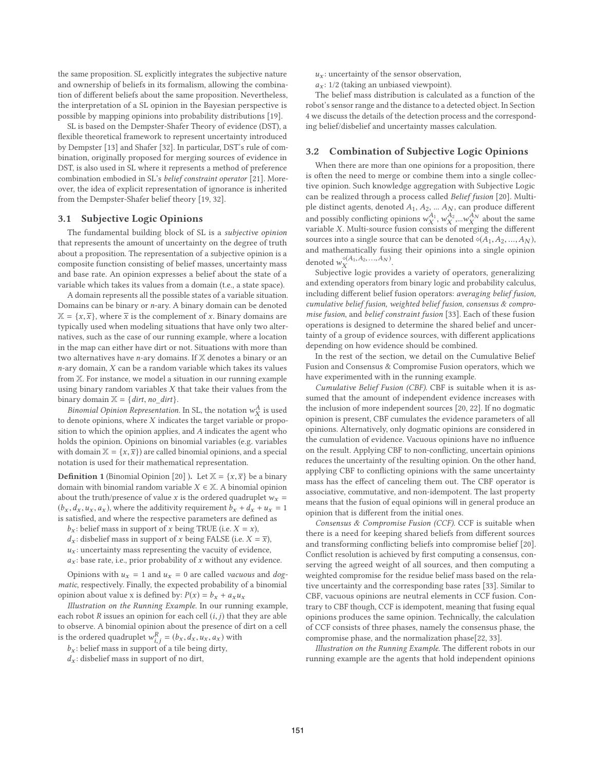the same proposition. SL explicitly integrates the subjective nature and ownership of beliefs in its formalism, allowing the combination of different beliefs about the same proposition. Nevertheless, the interpretation of a SL opinion in the Bayesian perspective is possible by mapping opinions into probability distributions [19].

SL is based on the Dempster-Shafer Theory of evidence (DST), a flexible theoretical framework to represent uncertainty introduced by Dempster [13] and Shafer [32]. In particular, DST's rule of combination, originally proposed for merging sources of evidence in DST, is also used in SL where it represents a method of preference combination embodied in SL's *belief constraint operator* [21]. Moreover, the idea of explicit representation of ignorance is inherited from the Dempster-Shafer belief theory [19, 32].

#### **3.1 Subjective Logic Opinions**

The fundamental building block of SL is a *subjective opinion* that represents the amount of uncertainty on the degree of truth about a proposition. The representation of a subjective opinion is a composite function consisting of belief masses, uncertainty mass and base rate. An opinion expresses a belief about the state of a variable which takes its values from a domain (t.e., a state space).

A domain represents all the possible states of a variable situation. Domains can be binary or  $n$ -ary. A binary domain can be denoted  $\mathbb{X} = \{x, \overline{x}\}\$ , where  $\overline{x}$  is the complement of x. Binary domains are typically used when modeling situations that have only two alternatives, such as the case of our running example, where a location in the map can either have dirt or not. Situations with more than two alternatives have  $n$ -ary domains. If  $X$  denotes a binary or an  $n$ -ary domain,  $X$  can be a random variable which takes its values from X. For instance, we model a situation in our running example using binary random variables  $X$  that take their values from the binary domain  $X = \{$ *dirt*, *no\_dirt* $\}$ .

*Binomial Opinion Representation.* In SL, the notation  $w_X^A$  is used to denote opinions, where  $X$  indicates the target variable or proposition to which the opinion applies, and A indicates the agent who holds the opinion. Opinions on binomial variables (e.g. variables with domain  $\mathbb{X} = \{x, \overline{x}\}\)$  are called binomial opinions, and a special notation is used for their mathematical representation.

**Definition 1** (Binomial Opinion [20] ). Let  $\mathbb{X} = \{x, \overline{x}\}\)$  be a binary domain with binomial random variable  $X \in \mathbb{X}$ . A binomial opinion about the truth/presence of value x is the ordered quadruplet  $w_x$  =  $(b_x, d_x, u_x, a_x)$ , where the additivity requirement  $b_x + d_x + u_x = 1$ is satisfied, and where the respective parameters are defined as

- $b_x$ : belief mass in support of x being TRUE (i.e.  $X = x$ ),
- $d_x$ : disbelief mass in support of x being FALSE (i.e.  $X = \overline{x}$ ),
- $u_x$ : uncertainty mass representing the vacuity of evidence,
- $a_x$ : base rate, i.e., prior probability of x without any evidence.

Opinions with  $u_x = 1$  and  $u_x = 0$  are called *vacuous* and *dogmatic*, respectively. Finally, the expected probability of a binomial opinion about value x is defined by:  $P(x) = b_x + a_x u_x$ 

*Illustration on the Running Example.* In our running example, each robot  $R$  issues an opinion for each cell  $(i, j)$  that they are able to observe. A binomial opinion about the presence of dirt on a cell is the ordered quadruplet  $w_{i,j}^R = (b_x, d_x, u_x, a_x)$  with

 $b_x$ : belief mass in support of a tile being dirty,

 $d_x$ : disbelief mass in support of no dirt,

- $u_x$ : uncertainty of the sensor observation,
- $a_x$ : 1/2 (taking an unbiased viewpoint).

The belief mass distribution is calculated as a function of the robot's sensor range and the distance to a detected object. In Section 4 we discuss the details of the detection process and the corresponding belief/disbelief and uncertainty masses calculation.

### **3.2 Combination of Subjective Logic Opinions**

When there are more than one opinions for a proposition, there is often the need to merge or combine them into a single collective opinion. Such knowledge aggregation with Subjective Logic can be realized through a process called *Belief fusion* [20]. Multiple distinct agents, denoted  $A_1$ ,  $A_2$ , ...  $A_N$ , can produce different and possibly conflicting opinions  $w_X^{A_1}, w_X^{A_2},...w_X^{A_N}$  about the same variable X. Multi-source fusion consists of merging the different sources into a single source that can be denoted  $\diamond (A_1, A_2, ..., A_N)$ , and mathematically fusing their opinions into a single opinion denoted  $w_X^{\diamond (A_1, A_2, \ldots, A_N)}$ .

Subjective logic provides a variety of operators, generalizing and extending operators from binary logic and probability calculus, including different belief fusion operators: *averaging belief fusion, cumulative belief fusion, weighted belief fusion, consensus & compromise fusion*, and *belief constraint fusion* [33]. Each of these fusion operations is designed to determine the shared belief and uncertainty of a group of evidence sources, with different applications depending on how evidence should be combined.

In the rest of the section, we detail on the Cumulative Belief Fusion and Consensus & Compromise Fusion operators, which we have experimented with in the running example.

*Cumulative Belief Fusion (CBF).* CBF is suitable when it is assumed that the amount of independent evidence increases with the inclusion of more independent sources [20, 22]. If no dogmatic opinion is present, CBF cumulates the evidence parameters of all opinions. Alternatively, only dogmatic opinions are considered in the cumulation of evidence. Vacuous opinions have no influence on the result. Applying CBF to non-conflicting, uncertain opinions reduces the uncertainty of the resulting opinion. On the other hand, applying CBF to conflicting opinions with the same uncertainty mass has the effect of canceling them out. The CBF operator is associative, commutative, and non-idempotent. The last property means that the fusion of equal opinions will in general produce an opinion that is different from the initial ones.

*Consensus & Compromise Fusion (CCF).* CCF is suitable when there is a need for keeping shared beliefs from different sources and transforming conflicting beliefs into compromise belief [20]. Conflict resolution is achieved by first computing a consensus, conserving the agreed weight of all sources, and then computing a weighted compromise for the residue belief mass based on the relative uncertainty and the corresponding base rates [33]. Similar to CBF, vacuous opinions are neutral elements in CCF fusion. Contrary to CBF though, CCF is idempotent, meaning that fusing equal opinions produces the same opinion. Technically, the calculation of CCF consists of three phases, namely the consensus phase, the compromise phase, and the normalization phase[22, 33].

*Illustration on the Running Example.* The different robots in our running example are the agents that hold independent opinions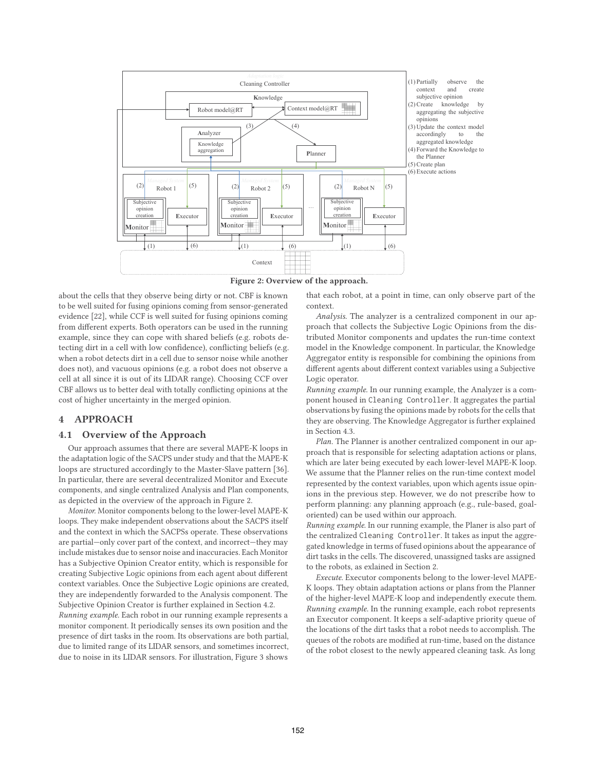

**Figure 2: Overview of the approach.**

about the cells that they observe being dirty or not. CBF is known to be well suited for fusing opinions coming from sensor-generated evidence [22], while CCF is well suited for fusing opinions coming from different experts. Both operators can be used in the running example, since they can cope with shared beliefs (e.g. robots detecting dirt in a cell with low confidence), conflicting beliefs (e.g. when a robot detects dirt in a cell due to sensor noise while another does not), and vacuous opinions (e.g. a robot does not observe a cell at all since it is out of its LIDAR range). Choosing CCF over CBF allows us to better deal with totally conflicting opinions at the cost of higher uncertainty in the merged opinion.

# **4 APPROACH**

#### **4.1 Overview of the Approach**

Our approach assumes that there are several MAPE-K loops in the adaptation logic of the SACPS under study and that the MAPE-K loops are structured accordingly to the Master-Slave pattern [36]. In particular, there are several decentralized Monitor and Execute components, and single centralized Analysis and Plan components, as depicted in the overview of the approach in Figure 2.

*Monitor.* Monitor components belong to the lower-level MAPE-K loops. They make independent observations about the SACPS itself and the context in which the SACPSs operate. These observations are partial—only cover part of the context, and incorrect—they may include mistakes due to sensor noise and inaccuracies. Each Monitor has a Subjective Opinion Creator entity, which is responsible for creating Subjective Logic opinions from each agent about different context variables. Once the Subjective Logic opinions are created, they are independently forwarded to the Analysis component. The Subjective Opinion Creator is further explained in Section 4.2.

*Running example.* Each robot in our running example represents a monitor component. It periodically senses its own position and the presence of dirt tasks in the room. Its observations are both partial, due to limited range of its LIDAR sensors, and sometimes incorrect, due to noise in its LIDAR sensors. For illustration, Figure 3 shows that each robot, at a point in time, can only observe part of the context.

*Analysis.* The analyzer is a centralized component in our approach that collects the Subjective Logic Opinions from the distributed Monitor components and updates the run-time context model in the Knowledge component. In particular, the Knowledge Aggregator entity is responsible for combining the opinions from different agents about different context variables using a Subjective Logic operator.

*Running example.* In our running example, the Analyzer is a component housed in Cleaning Controller. It aggregates the partial observations by fusing the opinions made by robots for the cells that they are observing. The Knowledge Aggregator is further explained in Section 4.3.

*Plan.* The Planner is another centralized component in our approach that is responsible for selecting adaptation actions or plans, which are later being executed by each lower-level MAPE-K loop. We assume that the Planner relies on the run-time context model represented by the context variables, upon which agents issue opinions in the previous step. However, we do not prescribe how to perform planning: any planning approach (e.g., rule-based, goaloriented) can be used within our approach.

*Running example.* In our running example, the Planer is also part of the centralized Cleaning Controller. It takes as input the aggregated knowledge in terms of fused opinions about the appearance of dirt tasks in the cells. The discovered, unassigned tasks are assigned to the robots, as exlained in Section 2.

*Execute.* Executor components belong to the lower-level MAPE-K loops. They obtain adaptation actions or plans from the Planner of the higher-level MAPE-K loop and independently execute them. *Running example.* In the running example, each robot represents an Executor component. It keeps a self-adaptive priority queue of the locations of the dirt tasks that a robot needs to accomplish. The queues of the robots are modified at run-time, based on the distance of the robot closest to the newly appeared cleaning task. As long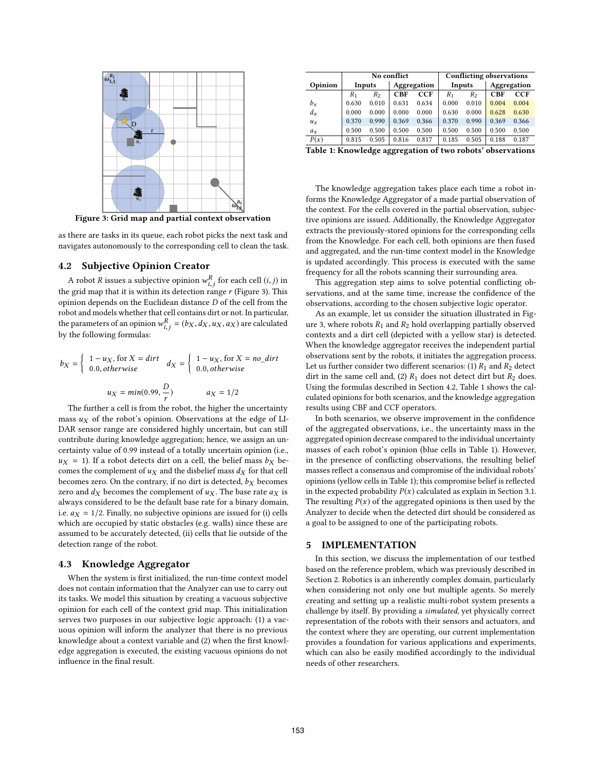

**Figure 3: Grid map and partial context observation**

as there are tasks in its queue, each robot picks the next task and navigates autonomously to the corresponding cell to clean the task.

# **4.2 Subjective Opinion Creator**

A robot  $R$  issues a subjective opinion  $w_{i,j}^R$  for each cell  $(i, j)$  in the grid map that it is within its detection range  $r$  (Figure 3). This opinion depends on the Euclidean distance D of the cell from the robot and models whether that cell contains dirt or not. In particular, the parameters of an opinion  $w_{i,j}^R = (b_X, d_X, u_X, a_X)$  are calculated by the following formulas:

$$
b_X = \begin{cases} 1 - u_X, \text{ for } X = dirt \\ 0.0, otherwise \end{cases} \quad d_X = \begin{cases} 1 - u_X, \text{ for } X = no\_ dirt \\ 0.0, otherwise \end{cases}
$$

$$
u_X = min(0.99, \frac{D}{r}) \quad a_X = 1/2
$$

The further a cell is from the robot, the higher the uncertainty mass  $u_X$  of the robot's opinion. Observations at the edge of LI-DAR sensor range are considered highly uncertain, but can still contribute during knowledge aggregation; hence, we assign an uncertainty value of 0.99 instead of a totally uncertain opinion (i.e.,  $u_X$  = 1). If a robot detects dirt on a cell, the belief mass  $b_X$  becomes the complement of  $u_X$  and the disbelief mass  $d_X$  for that cell becomes zero. On the contrary, if no dirt is detected,  $b_X$  becomes zero and  $d_X$  becomes the complement of  $u_X$ . The base rate  $a_X$  is always considered to be the default base rate for a binary domain, i.e.  $a_X = 1/2$ . Finally, no subjective opinions are issued for (i) cells which are occupied by static obstacles (e.g. walls) since these are assumed to be accurately detected, (ii) cells that lie outside of the detection range of the robot.

#### **4.3 Knowledge Aggregator**

When the system is first initialized, the run-time context model does not contain information that the Analyzer can use to carry out its tasks. We model this situation by creating a vacuous subjective opinion for each cell of the context grid map. This initialization serves two purposes in our subjective logic approach: (1) a vacuous opinion will inform the analyzer that there is no previous knowledge about a context variable and (2) when the first knowledge aggregation is executed, the existing vacuous opinions do not influence in the final result.

|                                                             | <b>No conflict</b> |                |             |            | <b>Conflicting observations</b> |                |             |            |
|-------------------------------------------------------------|--------------------|----------------|-------------|------------|---------------------------------|----------------|-------------|------------|
| Opinion                                                     | Inputs             |                | Aggregation |            | Inputs                          |                | Aggregation |            |
|                                                             | $R_{1}$            | R <sub>2</sub> | <b>CBF</b>  | <b>CCF</b> | $R_1$                           | R <sub>2</sub> | <b>CBF</b>  | <b>CCF</b> |
| $b_x$                                                       | 0.630              | 0.010          | 0.631       | 0.634      | 0.000                           | 0.010          | 0.004       | 0.004      |
| $d_{x}$                                                     | 0.000              | 0.000          | 0.000       | 0.000      | 0.630                           | 0.000          | 0.628       | 0.630      |
| $u_x$                                                       | 0.370              | 0.990          | 0.369       | 0.366      | 0.370                           | 0.990          | 0.369       | 0.366      |
| $a_x$                                                       | 0.500              | 0.500          | 0.500       | 0.500      | 0.500                           | 0.500          | 0.500       | 0.500      |
| P(x)                                                        | 0.815              | 0.505          | 0.816       | 0.817      | 0.185                           | 0.505          | 0.188       | 0.187      |
| Table 1. Energlades aggregation of two related absentations |                    |                |             |            |                                 |                |             |            |

**Table 1: Knowledge aggregation of two robots' observations**

The knowledge aggregation takes place each time a robot informs the Knowledge Aggregator of a made partial observation of the context. For the cells covered in the partial observation, subjective opinions are issued. Additionally, the Knowledge Aggregator extracts the previously-stored opinions for the corresponding cells from the Knowledge. For each cell, both opinions are then fused and aggregated, and the run-time context model in the Knowledge is updated accordingly. This process is executed with the same frequency for all the robots scanning their surrounding area.

This aggregation step aims to solve potential conflicting observations, and at the same time, increase the confidence of the observations, according to the chosen subjective logic operator.

As an example, let us consider the situation illustrated in Figure 3, where robots  $R_1$  and  $R_2$  hold overlapping partially observed contexts and a dirt cell (depicted with a yellow star) is detected. When the knowledge aggregator receives the independent partial observations sent by the robots, it initiates the aggregation process. Let us further consider two different scenarios: (1)  $R_1$  and  $R_2$  detect dirt in the same cell and, (2)  $R_1$  does not detect dirt but  $R_2$  does. Using the formulas described in Section 4.2, Table 1 shows the calculated opinions for both scenarios, and the knowledge aggregation results using CBF and CCF operators.

In both scenarios, we observe improvement in the confidence of the aggregated observations, i.e., the uncertainty mass in the aggregated opinion decrease compared to the individual uncertainty masses of each robot's opinion (blue cells in Table 1). However, in the presence of conflicting observations, the resulting belief masses reflect a consensus and compromise of the individual robots' opinions (yellow cells in Table 1); this compromise belief is reflected in the expected probability  $P(x)$  calculated as explain in Section 3.1. The resulting  $P(x)$  of the aggregated opinions is then used by the Analyzer to decide when the detected dirt should be considered as a goal to be assigned to one of the participating robots.

#### **5 IMPLEMENTATION**

In this section, we discuss the implementation of our testbed based on the reference problem, which was previously described in Section 2. Robotics is an inherently complex domain, particularly when considering not only one but multiple agents. So merely creating and setting up a realistic multi-robot system presents a challenge by itself. By providing a *simulated*, yet physically correct representation of the robots with their sensors and actuators, and the context where they are operating, our current implementation provides a foundation for various applications and experiments, which can also be easily modified accordingly to the individual needs of other researchers.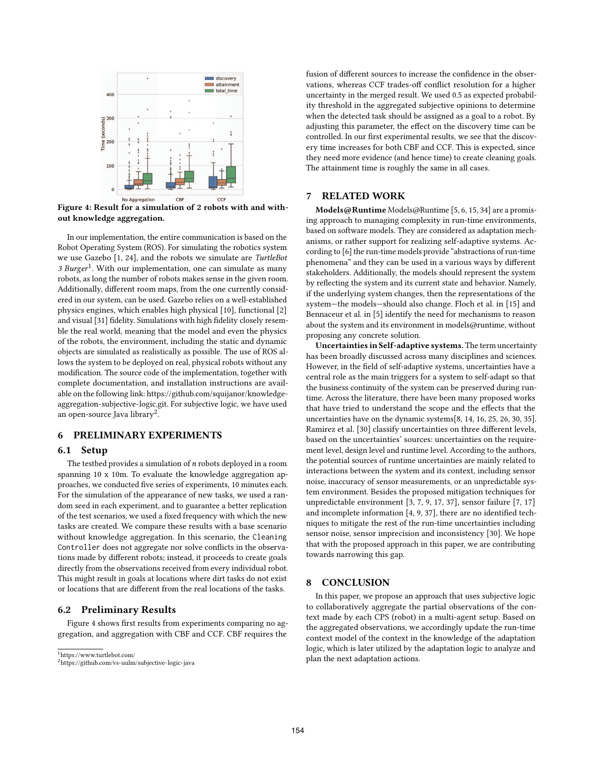

**Figure 4: Result for a simulation of 2 robots with and without knowledge aggregation.**

In our implementation, the entire communication is based on the Robot Operating System (ROS). For simulating the robotics system we use Gazebo [1, 24], and the robots we simulate are *TurtleBot 3 Burger*1. With our implementation, one can simulate as many robots, as long the number of robots makes sense in the given room. Additionally, different room maps, from the one currently considered in our system, can be used. Gazebo relies on a well-established physics engines, which enables high physical [10], functional [2] and visual [31] fidelity. Simulations with high fidelity closely resemble the real world, meaning that the model and even the physics of the robots, the environment, including the static and dynamic objects are simulated as realistically as possible. The use of ROS allows the system to be deployed on real, physical robots without any modification. The source code of the implementation, together with complete documentation, and installation instructions are available on the following link: https://github.com/squijanor/knowledgeaggregation-subjective-logic.git. For subjective logic, we have used an open-source Java library<sup>2</sup>.

# **6 PRELIMINARY EXPERIMENTS**

#### **6.1 Setup**

The testbed provides a simulation of  $n$  robots deployed in a room spanning 10 x 10m. To evaluate the knowledge aggregation approaches, we conducted five series of experiments, 10 minutes each. For the simulation of the appearance of new tasks, we used a random seed in each experiment, and to guarantee a better replication of the test scenarios, we used a fixed frequency with which the new tasks are created. We compare these results with a base scenario without knowledge aggregation. In this scenario, the Cleaning Controller does not aggregate nor solve conflicts in the observations made by different robots; instead, it proceeds to create goals directly from the observations received from every individual robot. This might result in goals at locations where dirt tasks do not exist or locations that are different from the real locations of the tasks.

# **6.2 Preliminary Results**

Figure 4 shows first results from experiments comparing no aggregation, and aggregation with CBF and CCF. CBF requires the

1https://www.turtlebot.com/

fusion of different sources to increase the confidence in the observations, whereas CCF trades-off conflict resolution for a higher uncertainty in the merged result. We used 0.5 as expected probability threshold in the aggregated subjective opinions to determine when the detected task should be assigned as a goal to a robot. By adjusting this parameter, the effect on the discovery time can be controlled. In our first experimental results, we see that the discovery time increases for both CBF and CCF. This is expected, since they need more evidence (and hence time) to create cleaning goals. The attainment time is roughly the same in all cases.

# **7 RELATED WORK**

**Models@Runtime** Models@Runtime [5, 6, 15, 34] are a promising approach to managing complexity in run-time environments, based on software models. They are considered as adaptation mechanisms, or rather support for realizing self-adaptive systems. According to [6] the run-time models provide "abstractions of run-time phenomena" and they can be used in a various ways by different stakeholders. Additionally, the models should represent the system by reflecting the system and its current state and behavior. Namely, if the underlying system changes, then the representations of the system—the models—should also change. Floch et al. in [15] and Bennaceur et al. in [5] identify the need for mechanisms to reason about the system and its environment in models@runtime, without proposing any concrete solution.

**Uncertainties in Self-adaptive systems.** The term uncertainty has been broadly discussed across many disciplines and sciences. However, in the field of self-adaptive systems, uncertainties have a central role as the main triggers for a system to self-adapt so that the business continuity of the system can be preserved during runtime. Across the literature, there have been many proposed works that have tried to understand the scope and the effects that the uncertainties have on the dynamic systems[8, 14, 16, 25, 26, 30, 35]. Ramirez et al. [30] classify uncertainties on three different levels, based on the uncertainties' sources: uncertainties on the requirement level, design level and runtime level. According to the authors, the potential sources of runtime uncertainties are mainly related to interactions between the system and its context, including sensor noise, inaccuracy of sensor measurements, or an unpredictable system environment. Besides the proposed mitigation techniques for unpredictable environment [3, 7, 9, 17, 37], sensor failure [7, 17] and incomplete information [4, 9, 37], there are no identified techniques to mitigate the rest of the run-time uncertainties including sensor noise, sensor imprecision and inconsistency [30]. We hope that with the proposed approach in this paper, we are contributing towards narrowing this gap.

# **8 CONCLUSION**

In this paper, we propose an approach that uses subjective logic to collaboratively aggregate the partial observations of the context made by each CPS (robot) in a multi-agent setup. Based on the aggregated observations, we accordingly update the run-time context model of the context in the knowledge of the adaptation logic, which is later utilized by the adaptation logic to analyze and plan the next adaptation actions.

<sup>2</sup>https://github.com/vs-uulm/subjective-logic-java